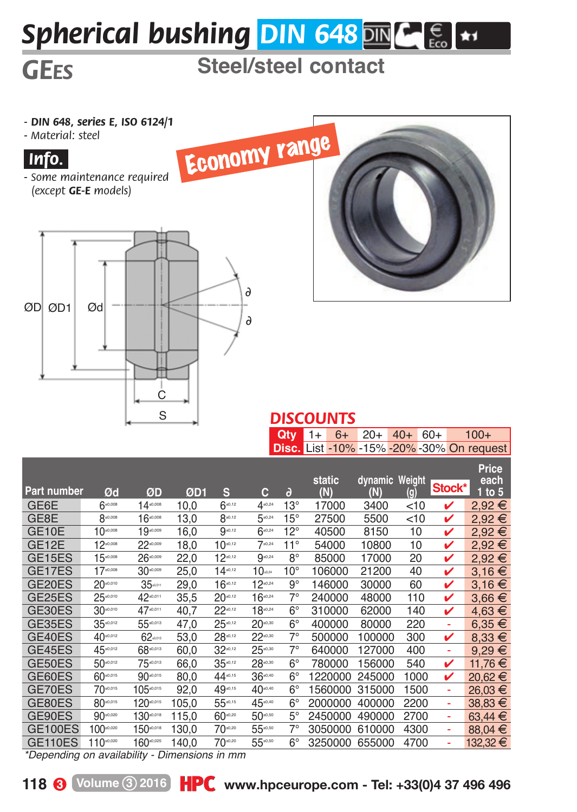## *Spherical bushing DIN 648* ME

## **GEES** Steel/steel contact

*- DIN 648, series E, ISO 6124/1*

*- Material: steel*



*- Some maintenance required (except GE-E models)*





| <b>DISCOUNTS</b> |  |  |                                     |
|------------------|--|--|-------------------------------------|
|                  |  |  | <b>Qty</b> $1+ 6+ 20+ 40+ 60+ 100+$ |

|                     |                                                         |                                       |       |              |                   |              | <b>Disc.</b> List -10% -15% -20% -30% On request |                       |        |        |                           |
|---------------------|---------------------------------------------------------|---------------------------------------|-------|--------------|-------------------|--------------|--------------------------------------------------|-----------------------|--------|--------|---------------------------|
| Part number         | Ød                                                      | ØD                                    | ØD1   | s            | с                 | ð            | static<br>(N)                                    | dynamic Weight<br>(N) | (g)    | Stock* | Price<br>each<br>1 to $5$ |
| GE6E                | 6⊷∞                                                     | $14^{0,000}$                          | 10.0  | $6^{40,12}$  | 4.0.24            | $13^\circ$   | 17000                                            | 3400                  | $<$ 10 | v      | 2.92€                     |
| GE8E                | 8-0,008                                                 | $16^{0.008}$                          | 13,0  | $8^{40,12}$  | 5.0.24            | $15^\circ$   | 27500                                            | 5500                  | $<$ 10 | v      | 2,92€                     |
| GE10E               | $10^{40,008}$                                           | $19 - 50$                             | 16,0  | $9^{40,12}$  | $6^{40,24}$       | $12^{\circ}$ | 40500                                            | 8150                  | 10     | v      | 2,92€                     |
| GE12E               | $12^{0000}$                                             | $22 - 50$                             | 18.0  | $10^{40,12}$ | $7^{.0,24}$       | $11^{\circ}$ | 54000                                            | 10800                 | 10     | v      | 2,92€                     |
| GE <sub>15ES</sub>  | $15^{-.008}$                                            | $26 - 20$                             | 22,0  | $12^{40,12}$ | $9^{40,24}$       | $8^\circ$    | 85000                                            | 17000                 | 20     | ✓      | 2,92€                     |
| GE17ES              | $17 - 0.008$                                            | 30 <sup>0.000</sup>                   | 25,0  | $14^{40,12}$ | $10$ <sub>a</sub> | $10^{\circ}$ | 106000                                           | 21200                 | 40     | v      | 3,16€                     |
| GE20ES              | $20 - 0.010$                                            | $35$ <sub>a.com</sub>                 | 29.0  | $16^{40,12}$ | $12^{40,24}$      | $9^\circ$    | 146000                                           | 30000                 | 60     | ✓      | 3,16€                     |
| GE <sub>25</sub> ES | $25 - 0.010$                                            | 42.0011                               | 35,5  | $20^{40,12}$ | $16^{40,24}$      | $7^\circ$    | 240000                                           | 48000                 | 110    | v      | $3,66 \in$                |
| GE30ES              | $30^{40,010}$                                           | 47.0011                               | 40.7  | $22^{40,12}$ | $18 - 24$         | $6^{\circ}$  | 310000                                           | 62000                 | 140    | v      | $4,63 \in$                |
| GE35ES              | $35^{40,012}$                                           | 55 0.013                              | 47.0  | $25^{40,12}$ | $20^{+0.30}$      | $6^\circ$    | 400000                                           | 80000                 | 220    | ÷      | $6.35 \in$                |
| GE40ES              | 40-0.012                                                | $62$ <sub>assa</sub>                  | 53.0  | $28^{40,12}$ | $22^{10,30}$      | $7^\circ$    | 500000                                           | 100000                | 300    | v      | $8.33 \in$                |
| GE45ES              | 45*0.012                                                | 68 ****                               | 60.0  | $32^{40,12}$ | $25^{+0.30}$      | $7^\circ$    | 640000                                           | 127000                | 400    | ÷      | $9,29 \in$                |
| GE50ES              | 50-0.012                                                | 75-0.013                              | 66.0  | $35^{40,12}$ | $28 - 20$         | $6^\circ$    | 780000                                           | 156000                | 540    | v      | 11,76€                    |
| GE60ES              | 60-0.015                                                | 90-0.015                              | 80,0  | 44-0.15      | $36^{+0.40}$      | $6^{\circ}$  | 1220000                                          | 245000                | 1000   | ✓      | 20,62€                    |
| GE70ES              | 70-0.015                                                | 105-0.015                             | 92,0  | 49.0.15      | 40.00             | $6^{\circ}$  | 1560000                                          | 315000                | 1500   | ÷      | 26.03 €                   |
| GE80ES              | 80-0.015                                                | $120$ <sup>0,015</sup>                | 105,0 | 55-0.15      | 45-0.40           | $6^{\circ}$  | 2000000                                          | 400000                | 2200   | ۰      | 38,83 €                   |
| GE90ES              | 90-0.020                                                | $130^{\circ \circ \circ \circ}$       | 115.0 | 60 ***       | 50-0.50           | $5^\circ$    | 2450000                                          | 490000                | 2700   | ÷,     | 63,44 €                   |
| GE100ES             | $100^{40,020}$                                          | 150 ***                               | 130.0 | $70^{40,20}$ | 55-0.50           | $7^\circ$    | 3050000                                          | 610000                | 4300   | ۰      | 88,04 €                   |
| GE110ES             | 110-0.020                                               | $160$ <sup><math>\text{}</math></sup> | 140,0 | 70.020       | 55-0.50           | $6^{\circ}$  | 3250000                                          | 655000                | 4700   | ٠      | 132,32 €                  |
| $\overline{a}$      | $\sim$ $\sim$ $\sim$ $\sim$ $\sim$ $\sim$ $\sim$ $\sim$ |                                       |       |              |                   |              |                                                  |                       |        |        |                           |

*\*Depending on availability - Dimensions in mm*

**118 Volume 3 2016 www.hpceurope.com - Tel: +33(0)4 37 496 496**